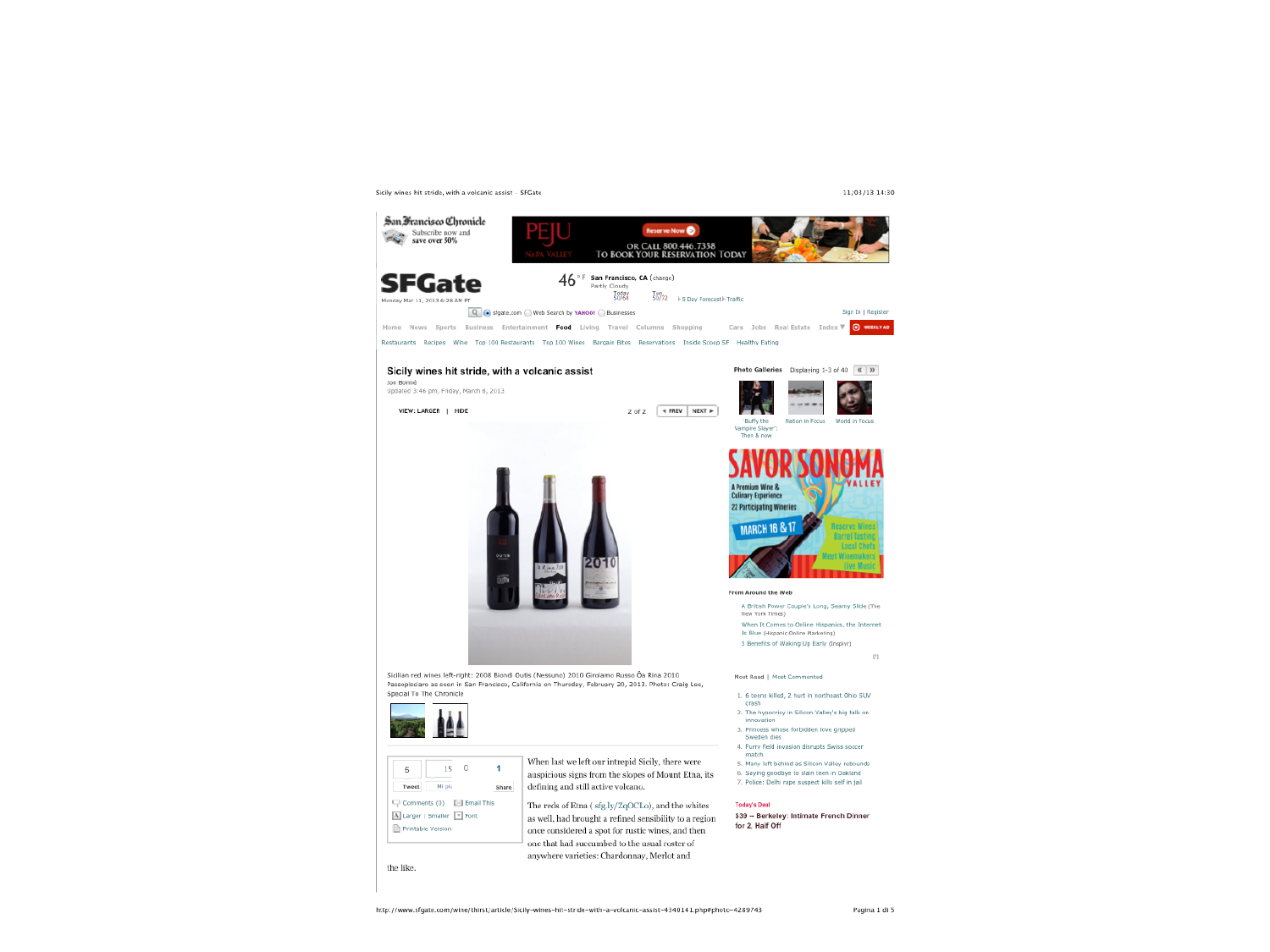Sicily wines hit stride, with a volcanic assist - SFGate



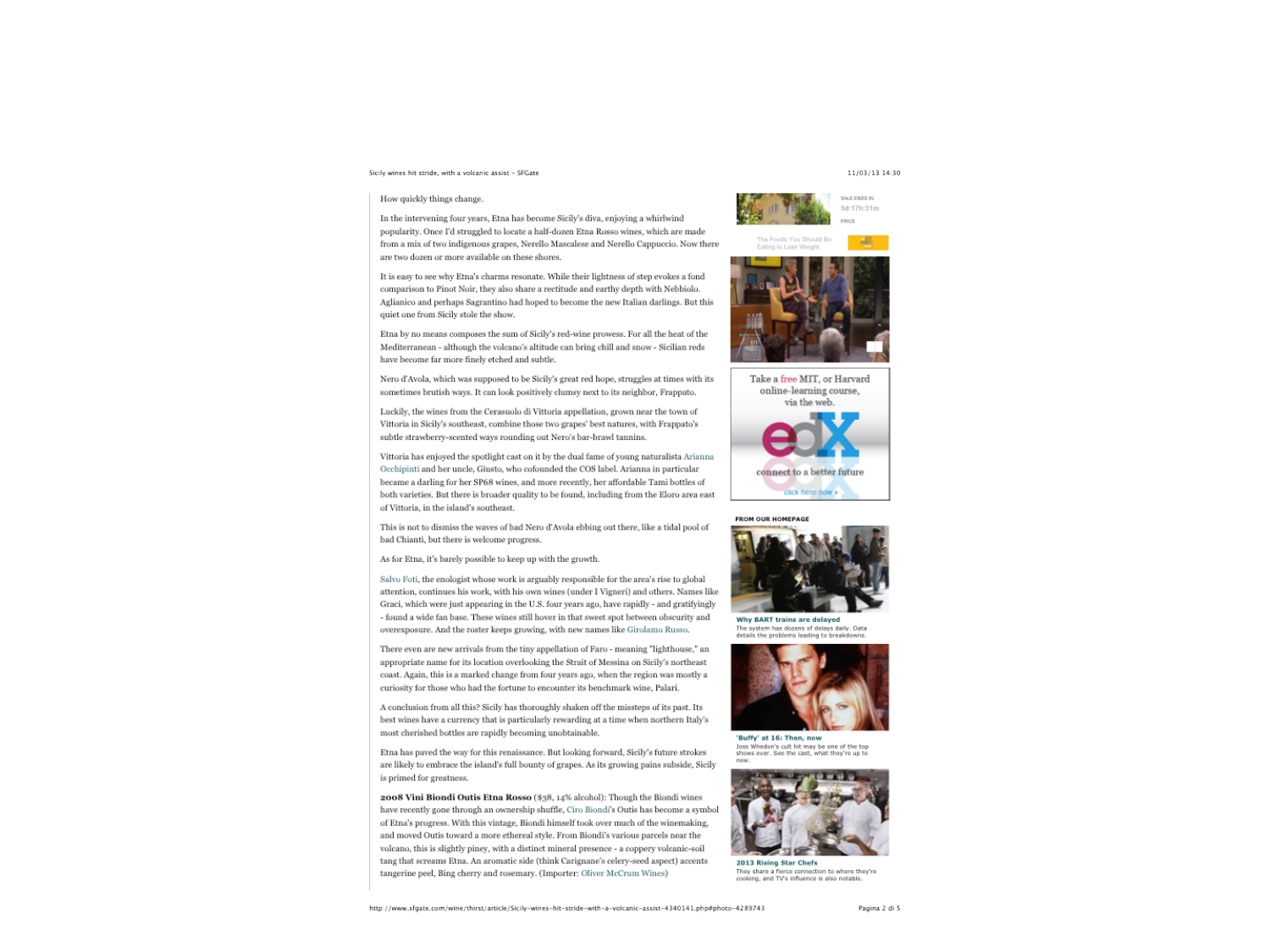# Sicily wines hit stride, with a volcanic assist - SFGate

#### How quickly things change.

In the intervening four years, Etna has become Sicily's diva, enjoying a whirlwind popularity. Once I'd struggled to locate a half-dozen Etna Rosso wines, which are made from a mix of two indigenous grapes. Nerello Mascalese and Nerello Cappuccio. Now there are two dozen or more available on these shores.

It is easy to see why Etna's charms resonate. While their lightness of step evokes a fond comparison to Pinot Noir, they also share a rectitude and earthy depth with Nebbiolo. Aglianico and perhaps Sagrantino had hoped to become the new Italian darlings. But this quiet one from Sicily stole the show.

Etna by no means composes the sum of Sicily's red-wine prowess. For all the heat of the Mediterranean - although the volcano's altitude can bring chill and snow - Sicilian reds have become far more finely etched and subtle.

Nero d'Avola, which was supposed to be Sicily's great red hope, struggles at times with its sometimes brutish ways. It can look positively clumsy next to its neighbor, Frappato.

Luckily, the wines from the Cerasuolo di Vittoria appellation, grown near the town of Vittoria in Sicily's southeast, combine those two grapes' best natures, with Frappato's subtle strawberry-scented ways rounding out Nero's bar-brawl tannins.

Vittoria has enjoyed the spotlight cast on it by the dual fame of young naturalista Arianna Occhipinti and her uncle, Giusto, who cofounded the COS label. Arianna in particular became a darling for her SP68 wines, and more recently, her affordable Tami bottles of both varieties. But there is broader quality to be found, including from the Eloro area east of Vittoria, in the island's southeast.

This is not to dismiss the waves of bad Nero d'Avola ebbing out there, like a tidal pool of bad Chianti, but there is welcome progress.

As for Etna, it's barely possible to keep up with the growth.

Salvo Foti, the enologist whose work is arguably responsible for the area's rise to global attention, continues his work, with his own wines (under I Vigneri) and others. Names like Graci, which were just appearing in the U.S. four years ago, have rapidly - and gratifyingly - found a wide fan base. These wines still hover in that sweet spot between obscurity and overexposure. And the roster keeps growing, with new names like Girolamo Russo.

There even are new arrivals from the tiny appellation of Faro - meaning "lighthouse," an appropriate name for its location overlooking the Strait of Messina on Sicily's northeast coast. Again, this is a marked change from four years ago, when the region was mostly a curiosity for those who had the fortune to encounter its benchmark wine, Palari.

A conclusion from all this? Sicily has thoroughly shaken off the missteps of its past. Its best wines have a currency that is particularly rewarding at a time when northern Italy's most cherished bottles are rapidly becoming unobtainable.

Etna has paved the way for this renaissance. But looking forward, Sicily's future strokes are likely to embrace the island's full bounty of grapes. As its growing pains subside, Sicily is primed for greatness.

2008 Vini Biondi Outis Etna Rosso (\$38, 14% alcohol): Though the Biondi wines have recently gone through an ownership shuffle, Ciro Biondi's Outis has become a symbol of Etna's progress. With this vintage, Biondi himself took over much of the winemaking, and moved Outis toward a more ethereal style. From Biondi's various parcels near the volcano, this is slightly piney, with a distinct mineral presence - a coppery volcanic-soil tang that screams Etna. An aromatic side (think Carignane's celery-seed aspect) accents tangerine peel, Bing cherry and rosemary. (Importer: Oliver McCrum Wines)

## 11/03/13 14:30

 $B<sub>0</sub>$ 



The Foods You Should Be



Take a free MIT, or Harvard online-learning course. via the web. connect to a better future click here now »



The system has dozens of delays daily. Data<br>details the problems leading to breakdowns.



'Buffy' at 16: Then, now Joss Whedon's cult hit may be one of the top<br>shows ever. See the cast, what they're up to



2013 Rising Star Chefs They share a fierce connection to where they're cooking, and TV's influence is also notable.

http://www.sfgate.com/wine/thirst/article/Sicily-wines-hit-stride-with-a-volcanic-assist-4340141.php#photo-4289743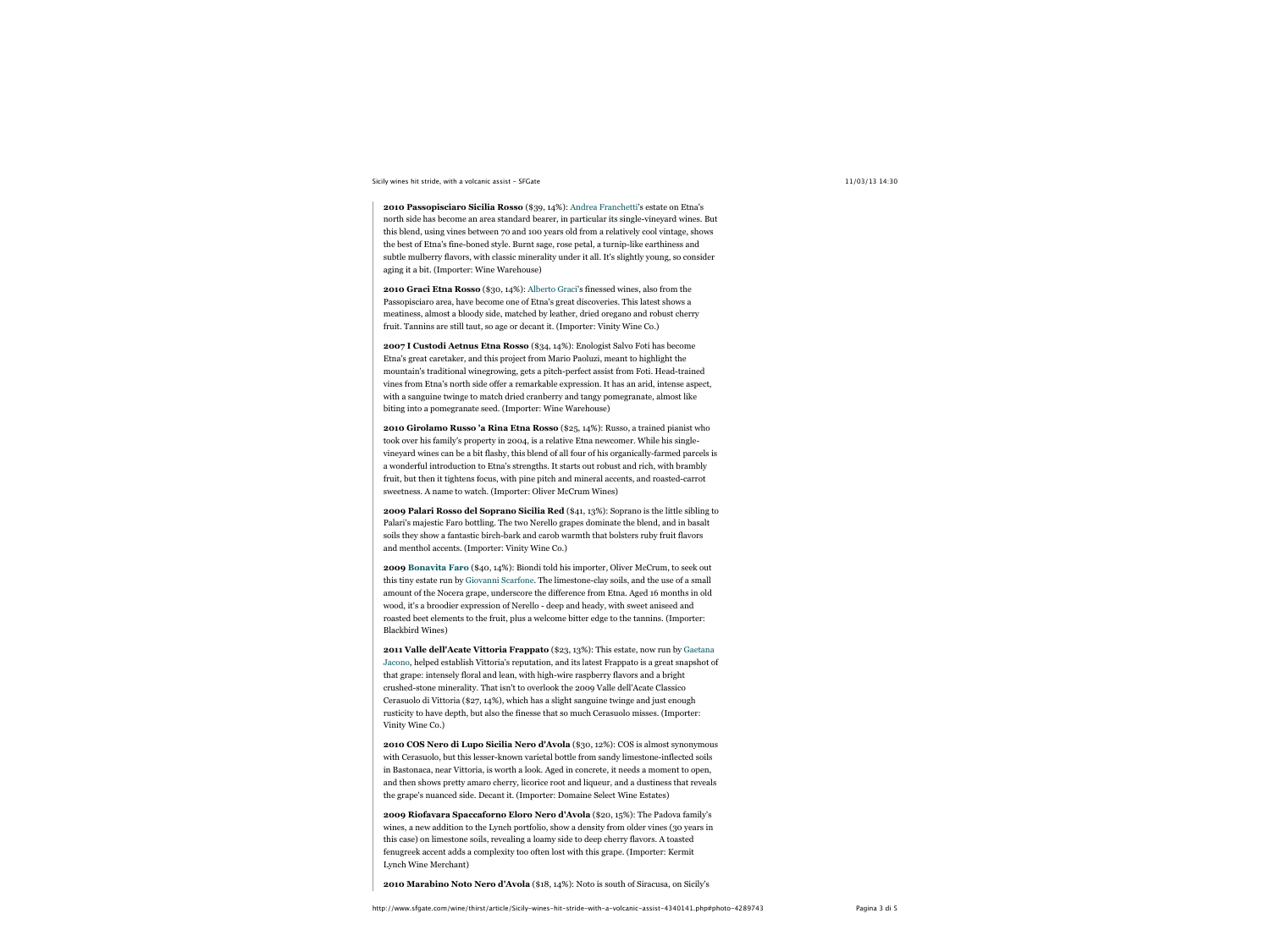# Sicily wines hit stride, with a volcanic assist - SFGate 11/03/13 14:30

**2010 Passopisciaro Sicilia Rosso** (\$39, 14%): Andrea Franchetti's estate on Etna's north side has become an area standard bearer, in particular its single-vineyard wines. But this blend, using vines between 70 and 100 years old from a relatively cool vintage, shows the best of Etna's fine-boned style. Burnt sage, rose petal, a turnip-like earthiness and subtle mulberry flavors, with classic minerality under it all. It's slightly young, so consider aging it a bit. (Importer: Wine Warehouse)

**2010 Graci Etna Rosso** (\$30, 14%): Alberto Graci's finessed wines, also from the Passopisciaro area, have become one of Etna's great discoveries. This latest shows a meatiness, almost a bloody side, matched by leather, dried oregano and robust cherry fruit. Tannins are still taut, so age or decant it. (Importer: Vinity Wine Co.)

**2007 I Custodi Aetnus Etna Rosso** (\$34, 14%): Enologist Salvo Foti has become Etna's great caretaker, and this project from Mario Paoluzi, meant to highlight the mountain's traditional winegrowing, gets a pitch-perfect assist from Foti. Head-trained vines from Etna's north side offer a remarkable expression. It has an arid, intense aspect, with a sanguine twinge to match dried cranberry and tangy pomegranate, almost like biting into a pomegranate seed. (Importer: Wine Warehouse)

**2010 Girolamo Russo 'a Rina Etna Rosso** (\$25, 14%): Russo, a trained pianist who took over his family's property in 2004, is a relative Etna newcomer. While his singlevineyard wines can be a bit flashy, this blend of all four of his organically-farmed parcels is a wonderful introduction to Etna's strengths. It starts out robust and rich, with brambly fruit, but then it tightens focus, with pine pitch and mineral accents, and roasted-carrot sweetness. A name to watch. (Importer: Oliver McCrum Wines)

**2009 Palari Rosso del Soprano Sicilia Red** (\$41, 13%): Soprano is the little sibling to Palari's majestic Faro bottling. The two Nerello grapes dominate the blend, and in basalt soils they show a fantastic birch-bark and carob warmth that bolsters ruby fruit flavors and menthol accents. (Importer: Vinity Wine Co.)

**2009 Bonavita Faro** (\$40, 14%): Biondi told his importer, Oliver McCrum, to seek out this tiny estate run by Giovanni Scarfone. The limestone-clay soils, and the use of a small amount of the Nocera grape, underscore the difference from Etna. Aged 16 months in old wood, it's a broodier expression of Nerello - deep and heady, with sweet aniseed and roasted beet elements to the fruit, plus a welcome bitter edge to the tannins. (Importer: Blackbird Wines)

**2011 Valle dell'Acate Vittoria Frappato** (\$23, 13%): This estate, now run by Gaetana Jacono, helped establish Vittoria's reputation, and its latest Frappato is a great snapshot of that grape: intensely floral and lean, with high-wire raspberry flavors and a bright crushed-stone minerality. That isn't to overlook the 2009 Valle dell'Acate Classico Cerasuolo di Vittoria (\$27, 14%), which has a slight sanguine twinge and just enough rusticity to have depth, but also the finesse that so much Cerasuolo misses. (Importer: Vinity Wine Co.)

**2010 COS Nero di Lupo Sicilia Nero d'Avola** (\$30, 12%): COS is almost synonymous with Cerasuolo, but this lesser-known varietal bottle from sandy limestone-inflected soils in Bastonaca, near Vittoria, is worth a look. Aged in concrete, it needs a moment to open, and then shows pretty amaro cherry, licorice root and liqueur, and a dustiness that reveals the grape's nuanced side. Decant it. (Importer: Domaine Select Wine Estates)

**2009 Riofavara Spaccaforno Eloro Nero d'Avola** (\$20, 15%): The Padova family's wines, a new addition to the Lynch portfolio, show a density from older vines (30 years in this case) on limestone soils, revealing a loamy side to deep cherry flavors. A toasted fenugreek accent adds a complexity too often lost with this grape. (Importer: Kermit Lynch Wine Merchant)

**2010 Marabino Noto Nero d'Avola** (\$18, 14%): Noto is south of Siracusa, on Sicily's